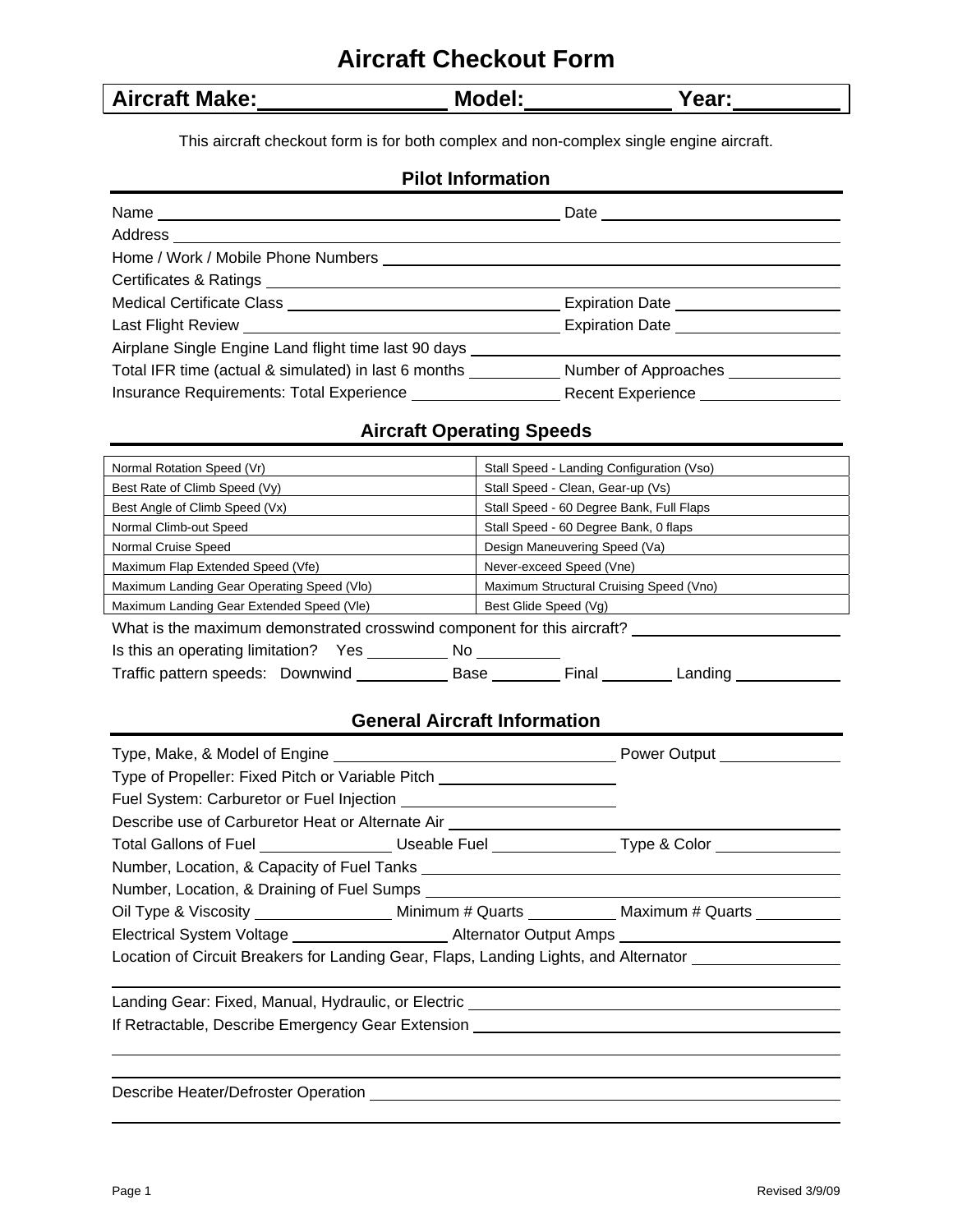# **Aircraft Checkout Form**

| <b>Aircraft Make:</b> | Model: | Year: |
|-----------------------|--------|-------|
|-----------------------|--------|-------|

This aircraft checkout form is for both complex and non-complex single engine aircraft.

# **Pilot Information**

|                                                                                  | Expiration Date ______________________    |
|----------------------------------------------------------------------------------|-------------------------------------------|
|                                                                                  |                                           |
| Airplane Single Engine Land flight time last 90 days ___________________________ |                                           |
| Total IFR time (actual & simulated) in last 6 months                             | Number of Approaches                      |
|                                                                                  | Recent Experience <b>Learning Control</b> |

# **Aircraft Operating Speeds**

| Normal Rotation Speed (Vr)                                              | Stall Speed - Landing Configuration (Vso) |  |  |  |
|-------------------------------------------------------------------------|-------------------------------------------|--|--|--|
| Best Rate of Climb Speed (Vy)                                           | Stall Speed - Clean, Gear-up (Vs)         |  |  |  |
| Best Angle of Climb Speed (Vx)                                          | Stall Speed - 60 Degree Bank, Full Flaps  |  |  |  |
| Normal Climb-out Speed                                                  | Stall Speed - 60 Degree Bank, 0 flaps     |  |  |  |
| Normal Cruise Speed                                                     | Design Maneuvering Speed (Va)             |  |  |  |
| Maximum Flap Extended Speed (Vfe)                                       | Never-exceed Speed (Vne)                  |  |  |  |
| Maximum Landing Gear Operating Speed (VIo)                              | Maximum Structural Cruising Speed (Vno)   |  |  |  |
| Maximum Landing Gear Extended Speed (VIe)<br>Best Glide Speed (Vg)      |                                           |  |  |  |
| What is the maximum demonstrated crosswind component for this aircraft? |                                           |  |  |  |
| Is this an operating limitation? Yes ____<br>No.                        |                                           |  |  |  |
| Traffic pattern speeds: Downwind<br>Base                                | Final<br>Landing                          |  |  |  |

# **General Aircraft Information**

| Type of Propeller: Fixed Pitch or Variable Pitch _______________________________                                                                                                                                               |  |  |  |
|--------------------------------------------------------------------------------------------------------------------------------------------------------------------------------------------------------------------------------|--|--|--|
|                                                                                                                                                                                                                                |  |  |  |
| Describe use of Carburetor Heat or Alternate Air [1944] [2012] [2013] [2013] [2014] [2014] [2014] [2014] [2014] [2014] [2014] [2014] [2014] [2014] [2014] [2014] [2014] [2014] [2014] [2014] [2014] [2014] [2014] [2014] [2014 |  |  |  |
|                                                                                                                                                                                                                                |  |  |  |
|                                                                                                                                                                                                                                |  |  |  |
|                                                                                                                                                                                                                                |  |  |  |
| Oil Type & Viscosity _______________________ Minimum # Quarts _____________ Maximum # Quarts ___________                                                                                                                       |  |  |  |
| Electrical System Voltage _________________________Alternator Output Amps __________________________                                                                                                                           |  |  |  |
| Location of Circuit Breakers for Landing Gear, Flaps, Landing Lights, and Alternator Letter Manusculle 1                                                                                                                       |  |  |  |
|                                                                                                                                                                                                                                |  |  |  |
| Landing Gear: Fixed, Manual, Hydraulic, or Electric ____________________________                                                                                                                                               |  |  |  |
|                                                                                                                                                                                                                                |  |  |  |
|                                                                                                                                                                                                                                |  |  |  |
|                                                                                                                                                                                                                                |  |  |  |
| Describe Heater/Defroster Operation __________                                                                                                                                                                                 |  |  |  |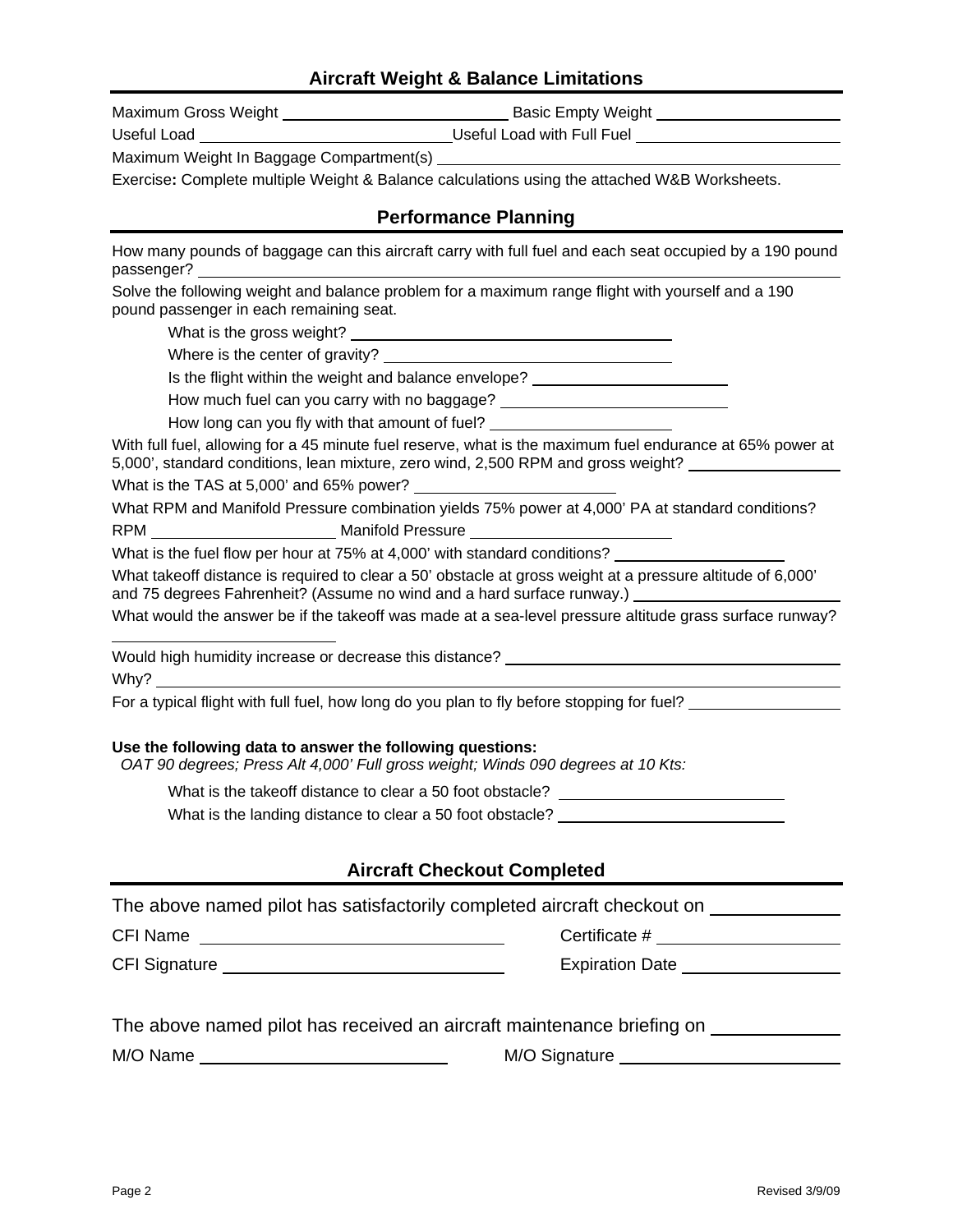## **Aircraft Weight & Balance Limitations**

| Maximum Gross Weigh |  |
|---------------------|--|
|                     |  |

Maximum Gross Weight Basic Empty Weight

Useful Load \_\_\_\_\_\_\_\_\_\_\_\_\_\_\_\_\_\_\_\_\_\_\_\_\_\_\_\_\_\_\_\_\_Useful Load with Full Fuel \_\_\_\_\_\_\_\_\_

Maximum Weight In Baggage Compartment(s)

Exercise**:** Complete multiple Weight & Balance calculations using the attached W&B Worksheets.

# **Performance Planning**

How many pounds of baggage can this aircraft carry with full fuel and each seat occupied by a 190 pound passenger?

Solve the following weight and balance problem for a maximum range flight with yourself and a 190 pound passenger in each remaining seat.

What is the gross weight?

Where is the center of gravity?

Is the flight within the weight and balance envelope?

How much fuel can you carry with no baggage? \_\_\_\_\_\_\_\_\_\_\_\_\_\_\_\_\_\_\_\_\_\_\_\_\_\_\_\_\_\_\_\_\_\_\_

How long can you fly with that amount of fuel?

With full fuel, allowing for a 45 minute fuel reserve, what is the maximum fuel endurance at 65% power at 5,000', standard conditions, lean mixture, zero wind, 2,500 RPM and gross weight?

What is the TAS at 5,000' and 65% power? \_\_

What RPM and Manifold Pressure combination yields 75% power at 4,000' PA at standard conditions? RPM Manifold Pressure

What is the fuel flow per hour at 75% at 4,000' with standard conditions?

What takeoff distance is required to clear a 50' obstacle at gross weight at a pressure altitude of 6,000' and 75 degrees Fahrenheit? (Assume no wind and a hard surface runway.)

What would the answer be if the takeoff was made at a sea-level pressure altitude grass surface runway?

Would high humidity increase or decrease this distance? Why?  $\_\_$ 

For a typical flight with full fuel, how long do you plan to fly before stopping for fuel?

#### **Use the following data to answer the following questions:**

*OAT 90 degrees; Press Alt 4,000' Full gross weight; Winds 090 degrees at 10 Kts:* 

What is the takeoff distance to clear a 50 foot obstacle? \_\_\_\_\_\_\_\_\_\_\_\_\_\_\_\_\_\_\_\_\_\_

What is the landing distance to clear a 50 foot obstacle?

# **Aircraft Checkout Completed**

|  | The above named pilot has satisfactorily completed aircraft checkout on |  |
|--|-------------------------------------------------------------------------|--|
|  |                                                                         |  |

CFI Name Certificate #

 $\overline{a}$ 

CFI Signature **Expiration Date** Expiration Date

|  |  | The above named pilot has received an aircraft maintenance briefing on |  |
|--|--|------------------------------------------------------------------------|--|
|--|--|------------------------------------------------------------------------|--|

M/O Name M/O Signature